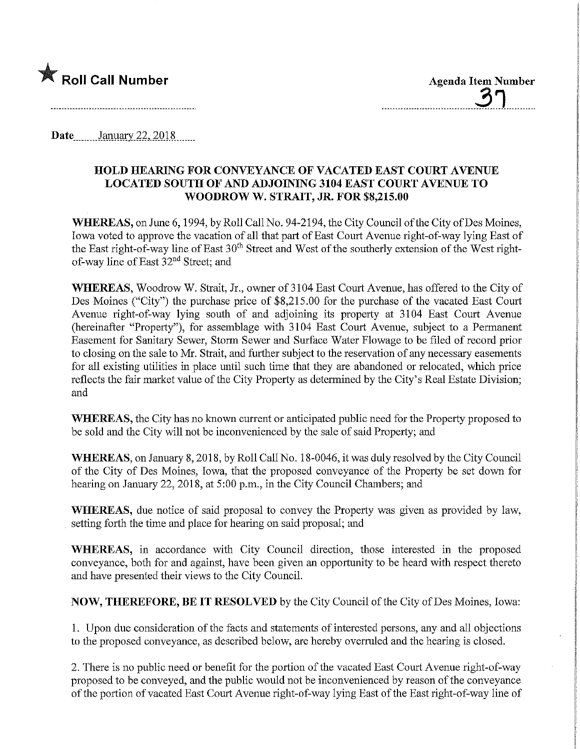

3n

Date.........January.22, 2018.......

## HOLD HEARING FOR CONVEYANCE OF VACATED EAST COURT AVENUE LOCATED SOUTH OF AND ADJOINING 3104 EAST COURT AVENUE TO WOODROW W. STRAIT, JR. FOR \$8,215.00

WHEREAS, on June 6, 1994, by Roll Call No. 94-2194, the City Council of the City of Des Moines, Iowa voted to approve the vacation of all that part of East Court Avenue right-of-way lying East of the East right-of-way line of East 30<sup>th</sup> Street and West of the southerly extension of the West rightof-way line of East 32nd Street; and

WHEREAS, Woodrow W. Strait, Jr., owner of 3104 East Court Avenue, has offered to the City of Des Moines ("City") the purchase price of \$8,215.00 for the purchase of the vacated East Court Avenue right-of-way lying south of and adjoining its property at 3104 East Court Avenue (hereinafter "Property"), for assemblage with 3104 East Court Avenue, subject to a Permanent Easement for Sanitary Sewer, Stomi Sewer and Surface Water Flowage to be filed of record prior to closing on the sale to Mr. Strait, and further subject to the reservation of any necessary easements for all existing utilities in place until such time that they are abandoned or relocated, which price reflects the fair market value of the City Property as determined by the City's Real Estate Division; and

WHEREAS, the City has no known current or anticipated public need for the Property proposed to be sold and the City will not be inconvenienced by the sale of said Property; and

WHEREAS, on January 8, 2018, by Roll Call No. 18-0046, it was duly resolved by the City Council of the City of Des Moiaes, Iowa, that the proposed conveyance of the Property be set down for hearing on January 22, 2018, at 5:00 p.m., in the City Council Chambers; and

WHEREAS, due notice of said proposal to convey the Property was given as provided by law, setting forth the time and place for hearing on said proposal; and

WHEREAS, in accordance with City Council direction, those interested in the proposed conveyance, both for and against, have been given an opportunity to be heard with respect thereto and have presented their views to the City Council.

NOW, THEREFORE, BE IT RESOLVED by the City Council of the City of Des Moines, Iowa:

1. Upon due consideration of the facts and statements of interested persons, any and all objections to the proposed conveyance, as described below, are hereby overruled and the hearing is closed.

2. There is no public need or benefit for the portion of the vacated East Court Avenue right-of-way proposed to be conveyed, and the public would not be inconvenienced by reason of the conveyance of the portion of vacated East Court Avenue right-of-way lying East of the East right-of-way line of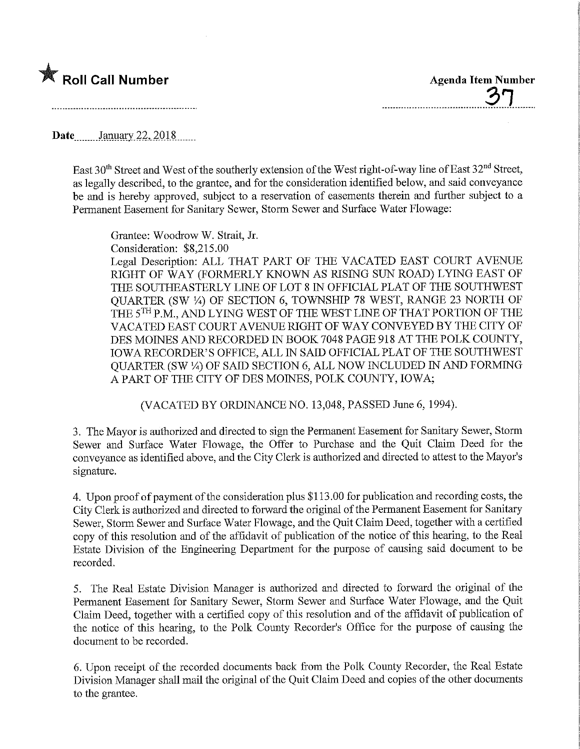

37

Date........January, 22, 2018.......

East 30<sup>th</sup> Street and West of the southerly extension of the West right-of-way line of East 32<sup>nd</sup> Street, as legally described, to the grantee, and for the consideration identified below, and said conveyance be and is hereby approved, subject to a reservation of easements therein and further subject to a Permanent Easement for Sanitary Sewer, Storm Sewer and Surface Water Flowage:

Grantee: WoodrowW. Strait, Jr. Consideration: \$8,215.00

Legal Description: ALL THAT PART OF THE VACATED EAST COURT AVENUE RIGHT OF WAY (FORMERLY KNOWN AS RISING SUN ROAD) LYING EAST OF THE SOUTHEASTERLY LINE OF LOT 8 IN OFFICIAL PLAT OF THE SOUTHWEST QUARTER (SW ¼) OF SECTION 6, TOWNSHIP 78 WEST, RANGE 23 NORTH OF THE 5<sup>TH</sup> P.M., AND LYING WEST OF THE WEST LINE OF THAT PORTION OF THE VACATED EAST COURT AVENUE RIGHT OF WAY CONVEYED BY THE CITY OF DES MOINES AND RECORDED IN BOOK 7048 PAGE 918 AT THE POLK COUNTY, IOWA RECORDER'S OFFICE, ALL W SAID OFFICIAL PLAT OF THE SOUTHWEST QUARTER (SW %) OF SAID SECTION 6, ALL NOW INCLUDED IN AND FORMING A PART OF THE CITY OF DES MOINES, POLK COUNTY, IOWA;

(VACATED BY ORDINANCE NO. 13,048, PASSED June 6, 1994).

3. The Mayor is authorized and directed to sign the Permanent Easement for Sanitary Sewer, Storm Sewer and Surface Water Flowage, the Offer to Purchase and the Quit Claim Deed for the conveyance as identified above, and the City Clerk is authorized and directed to attest to the Mayor's signature.

4. Upon proof of payment of the consideration plus \$113.00 for publication and recording costs, the City Clerk is authorized and directed to forward the original of the Permanent Easement for Sanitary Sewer, Storm Sewer and Surface Water Flowage, and the Quit Claim Deed, together with a certified copy of this resolution and of the affidavit of publication of the notice of this hearing, to the Real Estate Division of the Engineering Department for the purpose of causing said document to be recorded.

5. The Real Estate Division Manager is authorized and directed to forward the original of the Permanent Easement for Sanitary Sewer, Storm Sewer and Surface Water Flowage, and the Quit Claim Deed, together with a certified copy of this resolution and of the affidavit of publication of the notice of this hearing, to the Polk County Recorder's Office for the purpose of causing the document to be recorded.

6. Upon receipt of the recorded documents back from the Polk County Recorder, the Real Estate Division Manager shall mail the original of the Quit Claim Deed and copies of the other documents to the grantee.